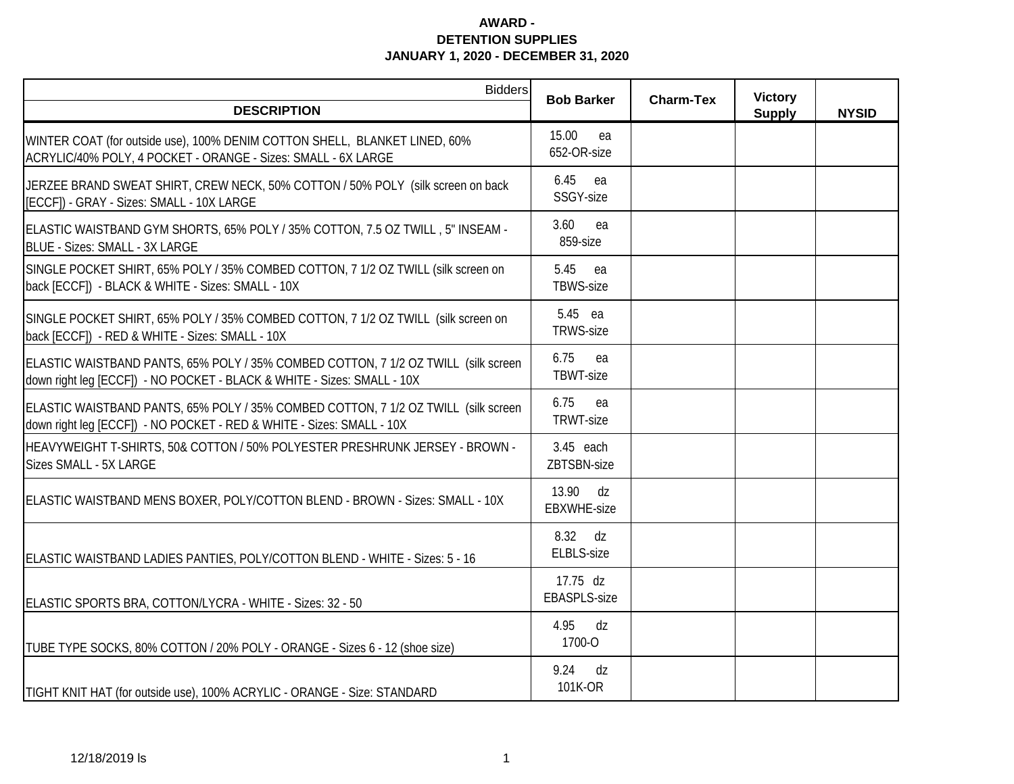| <b>Bidders</b>                                                                                                                                                | <b>Bob Barker</b>               | <b>Charm-Tex</b> | <b>Victory</b> |              |
|---------------------------------------------------------------------------------------------------------------------------------------------------------------|---------------------------------|------------------|----------------|--------------|
| <b>DESCRIPTION</b>                                                                                                                                            |                                 |                  | <b>Supply</b>  | <b>NYSID</b> |
| WINTER COAT (for outside use), 100% DENIM COTTON SHELL, BLANKET LINED, 60%<br>ACRYLIC/40% POLY, 4 POCKET - ORANGE - Sizes: SMALL - 6X LARGE                   | 15.00<br>ea<br>652-OR-size      |                  |                |              |
| JERZEE BRAND SWEAT SHIRT, CREW NECK, 50% COTTON / 50% POLY (silk screen on back<br>[ECCF]) - GRAY - Sizes: SMALL - 10X LARGE                                  | 6.45<br>ea<br>SSGY-size         |                  |                |              |
| ELASTIC WAISTBAND GYM SHORTS, 65% POLY / 35% COTTON, 7.5 OZ TWILL, 5" INSEAM -<br>BLUE - Sizes: SMALL - 3X LARGE                                              | 3.60<br>ea<br>859-size          |                  |                |              |
| SINGLE POCKET SHIRT, 65% POLY / 35% COMBED COTTON, 7 1/2 OZ TWILL (silk screen on<br>back [ECCF]) - BLACK & WHITE - Sizes: SMALL - 10X                        | 5.45<br>ea<br><b>TBWS-size</b>  |                  |                |              |
| SINGLE POCKET SHIRT, 65% POLY / 35% COMBED COTTON, 7 1/2 OZ TWILL (silk screen on<br>back [ECCF]) - RED & WHITE - Sizes: SMALL - 10X                          | 5.45 ea<br><b>TRWS-size</b>     |                  |                |              |
| ELASTIC WAISTBAND PANTS, 65% POLY / 35% COMBED COTTON, 7 1/2 OZ TWILL (silk screen<br>down right leg [ECCF]) - NO POCKET - BLACK & WHITE - Sizes: SMALL - 10X | 6.75<br>ea<br>TBWT-size         |                  |                |              |
| ELASTIC WAISTBAND PANTS, 65% POLY / 35% COMBED COTTON, 7 1/2 OZ TWILL (silk screen<br>down right leg [ECCF]) - NO POCKET - RED & WHITE - Sizes: SMALL - 10X   | 6.75<br>ea<br>TRWT-size         |                  |                |              |
| HEAVYWEIGHT T-SHIRTS, 50& COTTON / 50% POLYESTER PRESHRUNK JERSEY - BROWN -<br>Sizes SMALL - 5X LARGE                                                         | 3.45 each<br>ZBTSBN-size        |                  |                |              |
| ELASTIC WAISTBAND MENS BOXER, POLY/COTTON BLEND - BROWN - Sizes: SMALL - 10X                                                                                  | 13.90<br>dz<br>EBXWHE-size      |                  |                |              |
| ELASTIC WAISTBAND LADIES PANTIES, POLY/COTTON BLEND - WHITE - Sizes: 5 - 16                                                                                   | 8.32 dz<br><b>ELBLS-size</b>    |                  |                |              |
| ELASTIC SPORTS BRA, COTTON/LYCRA - WHITE - Sizes: 32 - 50                                                                                                     | 17.75 dz<br><b>EBASPLS-size</b> |                  |                |              |
| TUBE TYPE SOCKS, 80% COTTON / 20% POLY - ORANGE - Sizes 6 - 12 (shoe size)                                                                                    | 4.95<br>dz<br>1700-O            |                  |                |              |
| TIGHT KNIT HAT (for outside use), 100% ACRYLIC - ORANGE - Size: STANDARD                                                                                      | dz<br>9.24<br>101K-OR           |                  |                |              |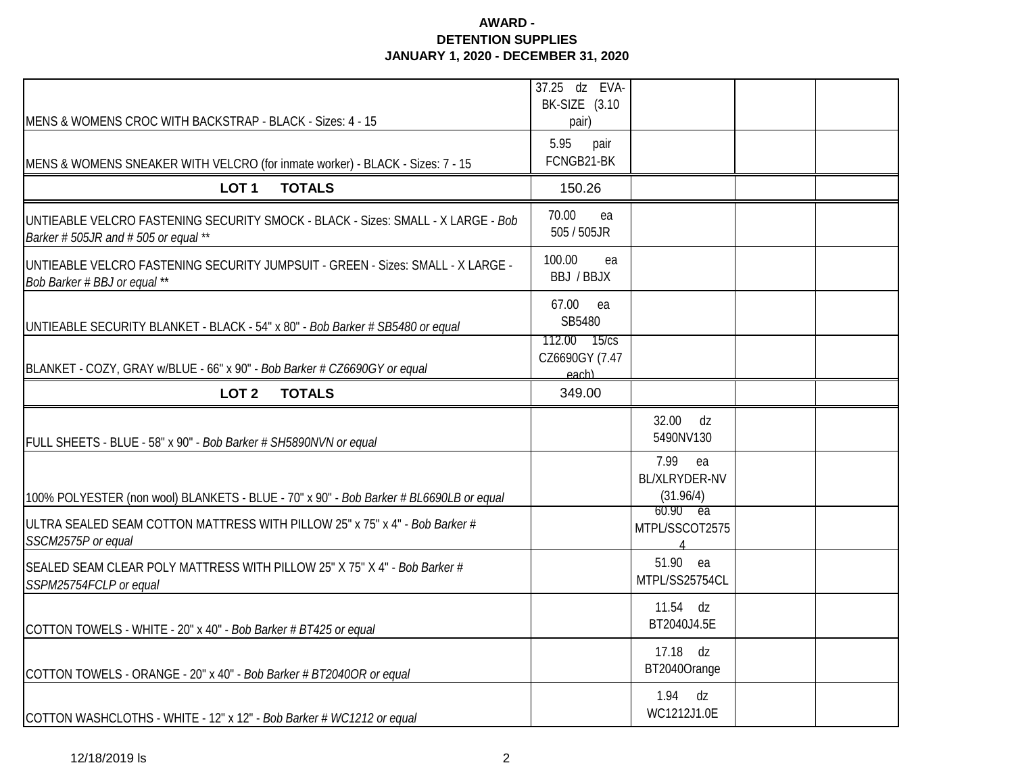|                                                                                                                          | 37.25 dz EVA-<br>BK-SIZE (3.10        |                                                           |  |
|--------------------------------------------------------------------------------------------------------------------------|---------------------------------------|-----------------------------------------------------------|--|
| MENS & WOMENS CROC WITH BACKSTRAP - BLACK - Sizes: 4 - 15                                                                | pair)                                 |                                                           |  |
| MENS & WOMENS SNEAKER WITH VELCRO (for inmate worker) - BLACK - Sizes: 7 - 15                                            | 5.95<br>pair<br>FCNGB21-BK            |                                                           |  |
| <b>TOTALS</b><br>LOT <sub>1</sub>                                                                                        | 150.26                                |                                                           |  |
| UNTIEABLE VELCRO FASTENING SECURITY SMOCK - BLACK - Sizes: SMALL - X LARGE - Bob<br>Barker # 505JR and # 505 or equal ** | 70.00<br>ea<br>505 / 505JR            |                                                           |  |
| UNTIEABLE VELCRO FASTENING SECURITY JUMPSUIT - GREEN - Sizes: SMALL - X LARGE -<br>Bob Barker # BBJ or equal **          | 100.00<br>ea<br>BBJ / BBJX            |                                                           |  |
| UNTIEABLE SECURITY BLANKET - BLACK - 54" x 80" - Bob Barker # SB5480 or equal                                            | 67.00<br>ea<br>SB5480<br>112.00 15/cs |                                                           |  |
| BLANKET - COZY, GRAY w/BLUE - 66" x 90" - Bob Barker # CZ6690GY or equal                                                 | CZ6690GY (7.47<br>each)               |                                                           |  |
| LOT <sub>2</sub><br><b>TOTALS</b>                                                                                        | 349.00                                |                                                           |  |
| FULL SHEETS - BLUE - 58" x 90" - Bob Barker # SH5890NVN or equal                                                         |                                       | 32.00<br>dz<br>5490NV130                                  |  |
| 100% POLYESTER (non wool) BLANKETS - BLUE - 70" x 90" - Bob Barker # BL6690LB or equal                                   |                                       | 7.99<br>ea<br>BL/XLRYDER-NV<br>(31.96/4)                  |  |
| ULTRA SEALED SEAM COTTON MATTRESS WITH PILLOW 25" x 75" x 4" - Bob Barker #<br>SSCM2575P or equal                        |                                       | $60.90$ ea<br>MTPL/SSCOT2575<br>$\boldsymbol{\varLambda}$ |  |
| SEALED SEAM CLEAR POLY MATTRESS WITH PILLOW 25" X 75" X 4" - Bob Barker #<br>SSPM25754FCLP or equal                      |                                       | 51.90 ea<br>MTPL/SS25754CL                                |  |
| COTTON TOWELS - WHITE - 20" x 40" - Bob Barker # BT425 or equal                                                          |                                       | $11.54$ dz<br>BT2040J4.5E                                 |  |
| COTTON TOWELS - ORANGE - 20" x 40" - Bob Barker # BT2040OR or equal                                                      |                                       | 17.18 dz<br>BT2040Orange                                  |  |
| COTTON WASHCLOTHS - WHITE - 12" x 12" - Bob Barker # WC1212 or equal                                                     |                                       | 1.94<br>dz<br>WC1212J1.0E                                 |  |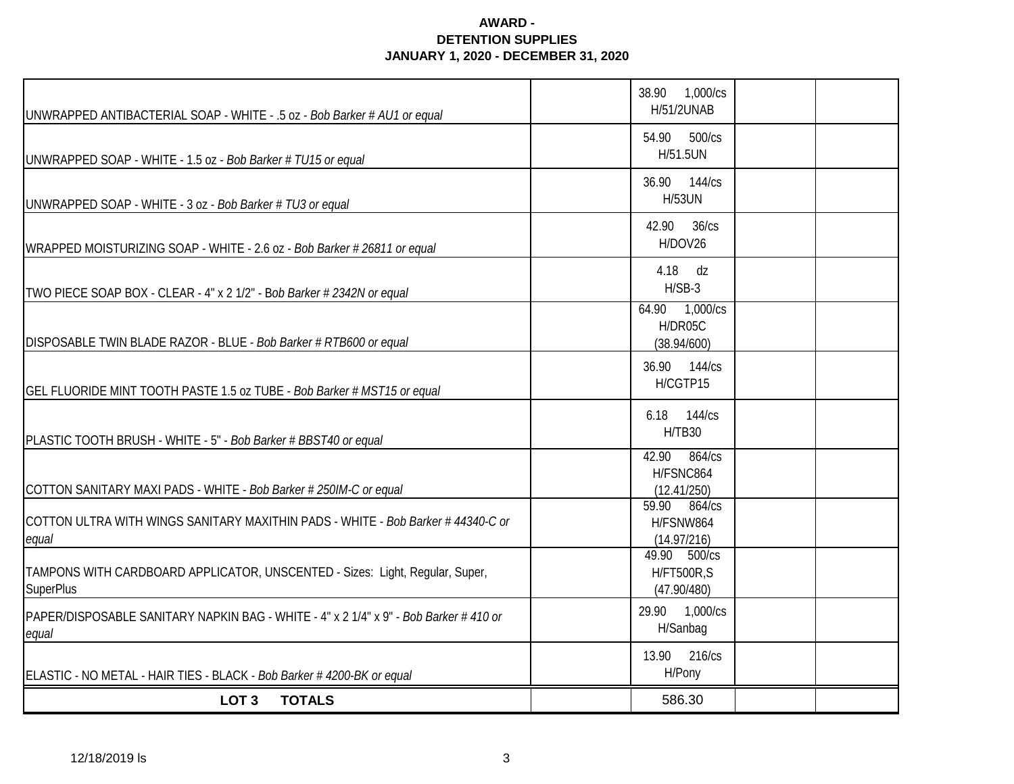| UNWRAPPED ANTIBACTERIAL SOAP - WHITE - .5 oz - Bob Barker # AU1 or equal                         | 38.90<br>1,000/cs<br>H/51/2UNAB                  |  |
|--------------------------------------------------------------------------------------------------|--------------------------------------------------|--|
| UNWRAPPED SOAP - WHITE - 1.5 oz - Bob Barker # TU15 or equal                                     | 500/cs<br>54.90<br>H/51.5UN                      |  |
| UNWRAPPED SOAP - WHITE - 3 oz - Bob Barker # TU3 or equal                                        | 36.90 144/cs<br><b>H/53UN</b>                    |  |
| WRAPPED MOISTURIZING SOAP - WHITE - 2.6 oz - Bob Barker # 26811 or equal                         | 36/cs<br>42.90<br>H/DOV26                        |  |
| TWO PIECE SOAP BOX - CLEAR - 4" x 2 1/2" - Bob Barker # 2342N or equal                           | 4.18 dz<br>$H/SB-3$                              |  |
| DISPOSABLE TWIN BLADE RAZOR - BLUE - Bob Barker # RTB600 or equal                                | 64.90 1,000/cs<br>H/DR05C<br>(38.94/600)         |  |
| GEL FLUORIDE MINT TOOTH PASTE 1.5 oz TUBE - Bob Barker # MST15 or equal                          | 36.90 144/cs<br>H/CGTP15                         |  |
| PLASTIC TOOTH BRUSH - WHITE - 5" - Bob Barker # BBST40 or equal                                  | 6.18 144/cs<br>H/TB30                            |  |
| COTTON SANITARY MAXI PADS - WHITE - Bob Barker # 250IM-C or equal                                | 42.90<br>864/cs<br>H/FSNC864<br>(12.41/250)      |  |
| COTTON ULTRA WITH WINGS SANITARY MAXITHIN PADS - WHITE - Bob Barker # 44340-C or<br>equal        | 59.90<br>864/cs<br>H/FSNW864<br>(14.97/216)      |  |
| TAMPONS WITH CARDBOARD APPLICATOR, UNSCENTED - Sizes: Light, Regular, Super,<br><b>SuperPlus</b> | 49.90 500/cs<br><b>H/FT500R,S</b><br>(47.90/480) |  |
| PAPER/DISPOSABLE SANITARY NAPKIN BAG - WHITE - 4" x 2 1/4" x 9" - Bob Barker # 410 or<br>equal   | 29.90 1,000/cs<br>H/Sanbag                       |  |
| ELASTIC - NO METAL - HAIR TIES - BLACK - Bob Barker # 4200-BK or equal                           | 216/cs<br>13.90<br>H/Pony                        |  |
| LOT <sub>3</sub><br><b>TOTALS</b>                                                                | 586.30                                           |  |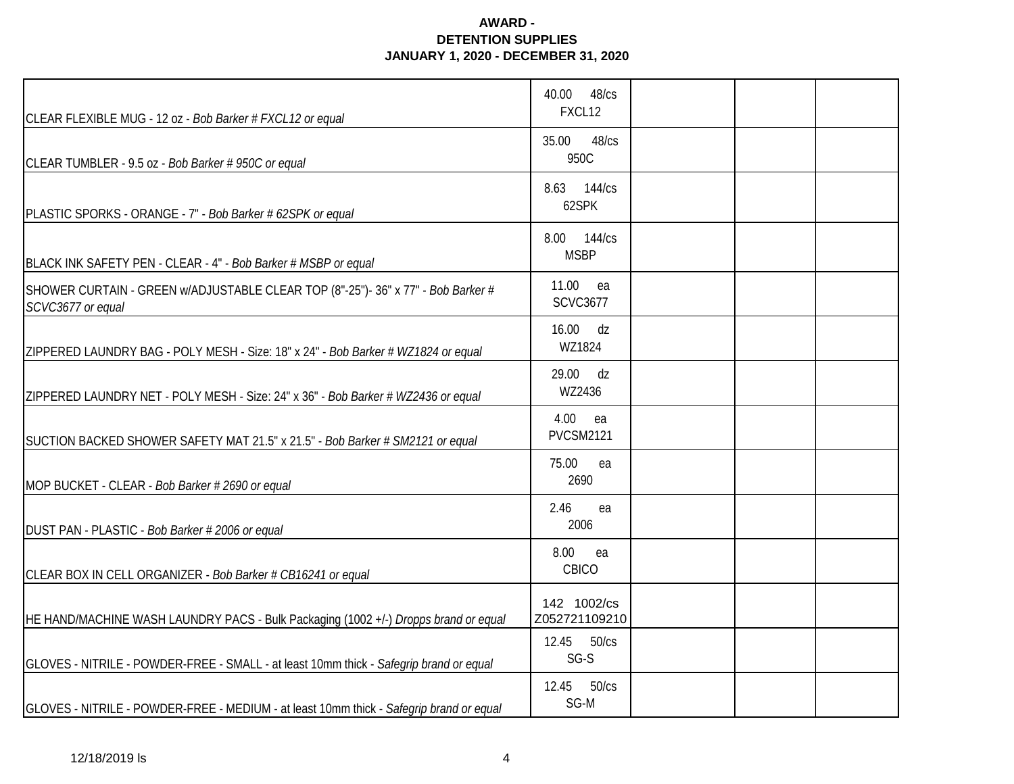| CLEAR FLEXIBLE MUG - 12 oz - Bob Barker # FXCL12 or equal                                             | 40.00<br>48/cs<br>FXCL12       |  |  |
|-------------------------------------------------------------------------------------------------------|--------------------------------|--|--|
| CLEAR TUMBLER - 9.5 oz - Bob Barker # 950C or equal                                                   | 48/cs<br>35.00<br>950C         |  |  |
| PLASTIC SPORKS - ORANGE - 7" - Bob Barker # 62SPK or equal                                            | 8.63 144/cs<br>62SPK           |  |  |
| BLACK INK SAFETY PEN - CLEAR - 4" - Bob Barker # MSBP or equal                                        | 144/cs<br>8.00<br><b>MSBP</b>  |  |  |
| SHOWER CURTAIN - GREEN w/ADJUSTABLE CLEAR TOP (8"-25")- 36" x 77" - Bob Barker #<br>SCVC3677 or equal | 11.00<br>ea<br><b>SCVC3677</b> |  |  |
| ZIPPERED LAUNDRY BAG - POLY MESH - Size: 18" x 24" - Bob Barker # WZ1824 or equal                     | 16.00 dz<br>WZ1824             |  |  |
| ZIPPERED LAUNDRY NET - POLY MESH - Size: 24" x 36" - Bob Barker # WZ2436 or equal                     | dz<br>29.00<br>WZ2436          |  |  |
| SUCTION BACKED SHOWER SAFETY MAT 21.5" x 21.5" - Bob Barker # SM2121 or equal                         | 4.00<br>ea<br><b>PVCSM2121</b> |  |  |
| MOP BUCKET - CLEAR - Bob Barker # 2690 or equal                                                       | 75.00<br>ea<br>2690            |  |  |
| DUST PAN - PLASTIC - Bob Barker # 2006 or equal                                                       | 2.46<br>ea<br>2006             |  |  |
| CLEAR BOX IN CELL ORGANIZER - Bob Barker # CB16241 or equal                                           | 8.00<br>ea<br>CBICO            |  |  |
| HE HAND/MACHINE WASH LAUNDRY PACS - Bulk Packaging (1002 +/-) Dropps brand or equal                   | 142 1002/cs<br>Z052721109210   |  |  |
| GLOVES - NITRILE - POWDER-FREE - SMALL - at least 10mm thick - Safegrip brand or equal                | 12.45 50/cs<br>SG-S            |  |  |
| GLOVES - NITRILE - POWDER-FREE - MEDIUM - at least 10mm thick - Safegrip brand or equal               | 50/cs<br>12.45<br>SG-M         |  |  |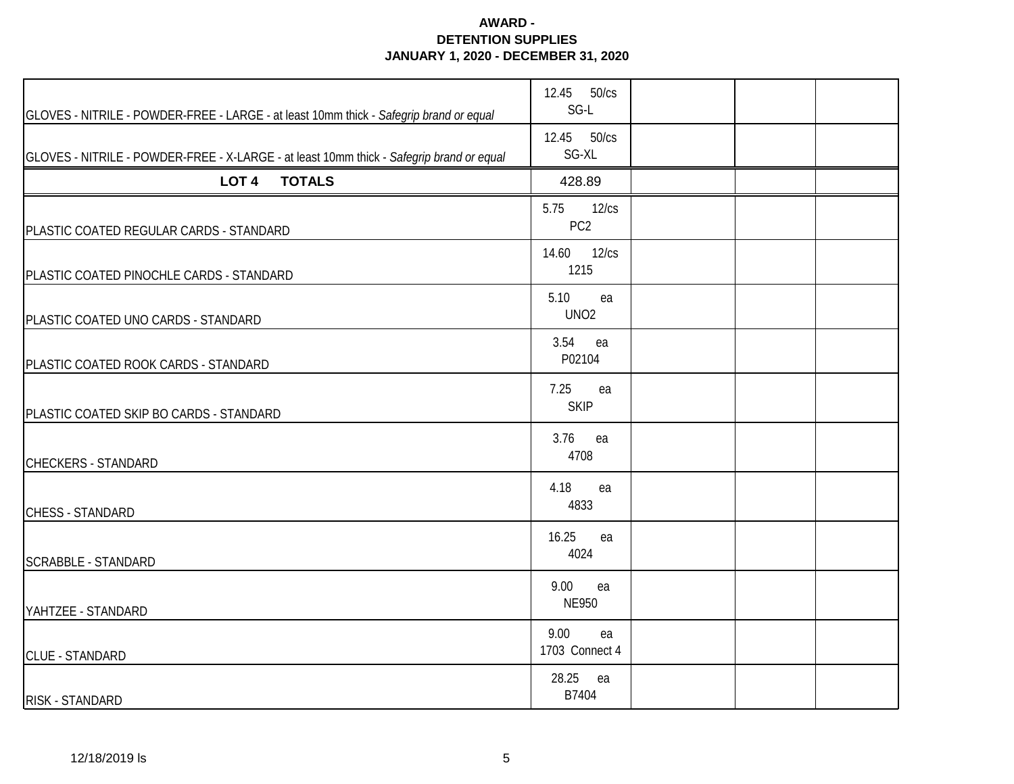| GLOVES - NITRILE - POWDER-FREE - LARGE - at least 10mm thick - Safegrip brand or equal   | 12.45 50/cs<br>SG-L              |  |  |
|------------------------------------------------------------------------------------------|----------------------------------|--|--|
| GLOVES - NITRILE - POWDER-FREE - X-LARGE - at least 10mm thick - Safegrip brand or equal | 12.45 50/cs<br>SG-XL             |  |  |
| <b>TOTALS</b><br>LOT <sub>4</sub>                                                        | 428.89                           |  |  |
| PLASTIC COATED REGULAR CARDS - STANDARD                                                  | 5.75<br>12/cs<br>PC <sub>2</sub> |  |  |
| PLASTIC COATED PINOCHLE CARDS - STANDARD                                                 | 14.60<br>12/cs<br>1215           |  |  |
| PLASTIC COATED UNO CARDS - STANDARD                                                      | 5.10<br>ea<br>UNO <sub>2</sub>   |  |  |
| PLASTIC COATED ROOK CARDS - STANDARD                                                     | 3.54<br>ea<br>P02104             |  |  |
| PLASTIC COATED SKIP BO CARDS - STANDARD                                                  | 7.25<br>ea<br><b>SKIP</b>        |  |  |
| <b>CHECKERS - STANDARD</b>                                                               | 3.76<br>ea<br>4708               |  |  |
| CHESS - STANDARD                                                                         | 4.18<br>ea<br>4833               |  |  |
| <b>SCRABBLE - STANDARD</b>                                                               | 16.25<br>ea<br>4024              |  |  |
| YAHTZEE - STANDARD                                                                       | 9.00<br>ea<br><b>NE950</b>       |  |  |
| <b>CLUE - STANDARD</b>                                                                   | 9.00<br>ea<br>1703 Connect 4     |  |  |
| RISK - STANDARD                                                                          | 28.25 ea<br>B7404                |  |  |